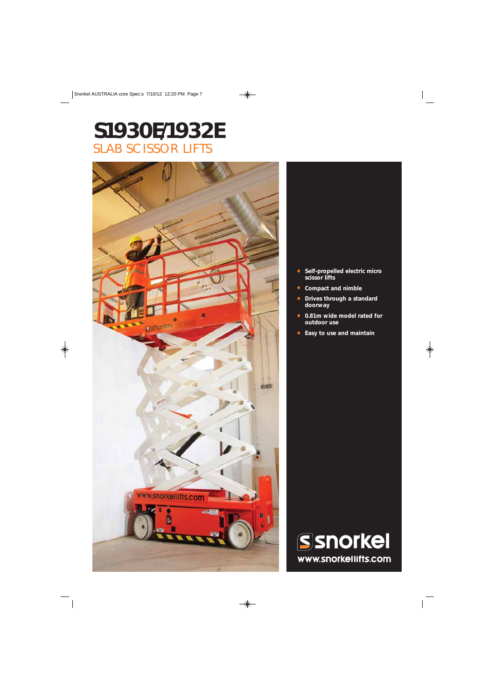# **S1930E/1932E** SLAB SCISSOR LIFTS



- **Self-propelled electric micro scissor lifts**
- **Compact and nimble**
- **Drives through a standard doorway**
- **0.81m wide model rated for outdoor use**
- **Easy to use and maintain**